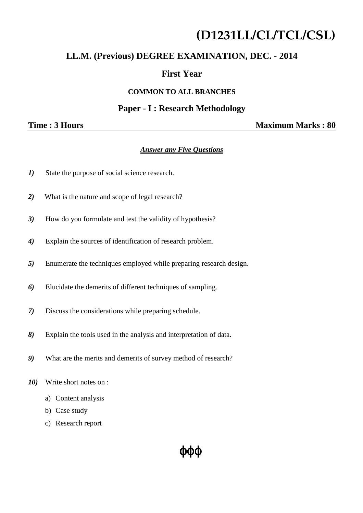# **(D1231LL/CL/TCL/CSL)**

# **LL.M. (Previous) DEGREE EXAMINATION, DEC. - 2014**

# **First Year**

#### **COMMON TO ALL BRANCHES**

#### **Paper - I : Research Methodology**

**Time : 3 Hours Maximum Marks : 80** 

#### *Answer any Five Questions*

- *1)* State the purpose of social science research.
- *2)* What is the nature and scope of legal research?
- *3)* How do you formulate and test the validity of hypothesis?
- *4)* Explain the sources of identification of research problem.
- *5)* Enumerate the techniques employed while preparing research design.
- *6)* Elucidate the demerits of different techniques of sampling.
- *7)* Discuss the considerations while preparing schedule.
- *8)* Explain the tools used in the analysis and interpretation of data.
- *9)* What are the merits and demerits of survey method of research?
- *10)* Write short notes on :
	- a) Content analysis
	- b) Case study
	- c) Research report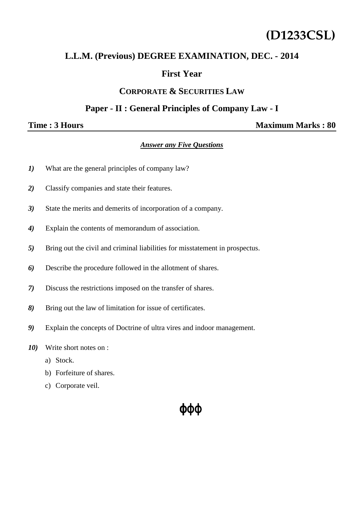# **(D1233CSL)**

# **L.L.M. (Previous) DEGREE EXAMINATION, DEC. - 2014**

# **First Year**

#### **CORPORATE & SECURITIES LAW**

## **Paper - II : General Principles of Company Law - I**

**Time : 3 Hours** Maximum Marks : 80

#### *Answer any Five Questions*

- *1)* What are the general principles of company law?
- *2)* Classify companies and state their features.
- *3)* State the merits and demerits of incorporation of a company.
- *4)* Explain the contents of memorandum of association.
- *5)* Bring out the civil and criminal liabilities for misstatement in prospectus.
- *6)* Describe the procedure followed in the allotment of shares.
- *7)* Discuss the restrictions imposed on the transfer of shares.
- *8)* Bring out the law of limitation for issue of certificates.
- *9)* Explain the concepts of Doctrine of ultra vires and indoor management.
- *10)* Write short notes on :
	- a) Stock.
	- b) Forfeiture of shares.
	- c) Corporate veil.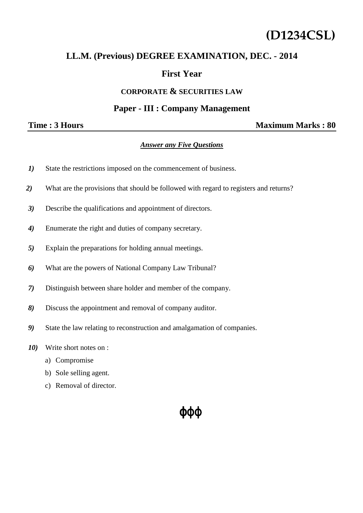# **(D1234CSL)**

## **LL.M. (Previous) DEGREE EXAMINATION, DEC. - 2014**

## **First Year**

#### **CORPORATE & SECURITIES LAW**

### **Paper - III : Company Management**

### **Time : 3 Hours** Maximum Marks : 80

#### *Answer any Five Questions*

- *1)* State the restrictions imposed on the commencement of business.
- *2)* What are the provisions that should be followed with regard to registers and returns?
- *3)* Describe the qualifications and appointment of directors.
- *4)* Enumerate the right and duties of company secretary.
- *5)* Explain the preparations for holding annual meetings.
- *6)* What are the powers of National Company Law Tribunal?
- *7)* Distinguish between share holder and member of the company.
- *8)* Discuss the appointment and removal of company auditor.
- *9)* State the law relating to reconstruction and amalgamation of companies.
- *10)* Write short notes on :
	- a) Compromise
	- b) Sole selling agent.
	- c) Removal of director.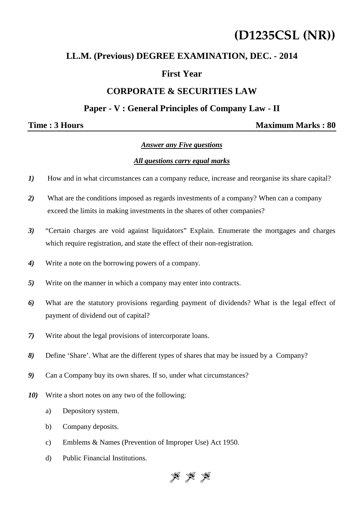# **(D1235CSL (NR))**

# **LL.M. (Previous) DEGREE EXAMINATION, DEC. - 2014**

# **First Year**

# **CORPORATE & SECURITIES LAW**

## **Paper - V : General Principles of Company Law - II**

#### **Time : 3 Hours Maximum Marks : 80**

#### *Answer any Five questions*

#### *All questions carry equal marks*

- *1)* How and in what circumstances can a company reduce, increase and reorganise its share capital?
- *2)* What are the conditions imposed as regards investments of a company? When can a company exceed the limits in making investments in the shares of other companies?
- *3)* "Certain charges are void against liquidators" Explain. Enumerate the mortgages and charges which require registration, and state the effect of their non-registration.
- *4)* Write a note on the borrowing powers of a company.
- *5)* Write on the manner in which a company may enter into contracts.
- *6)* What are the statutory provisions regarding payment of dividends? What is the legal effect of payment of dividend out of capital?
- *7)* Write about the legal provisions of intercorporate loans.
- *8)* Define 'Share'. What are the different types of shares that may be issued by a Company?
- *9)* Can a Company buy its own shares. If so, under what circumstances?
- *10)* Write a short notes on any two of the following:
	- a) Depository system.
	- b) Company deposits.
	- c) Emblems & Names (Prevention of Improper Use) Act 1950.
	- d) Public Financial Institutions.

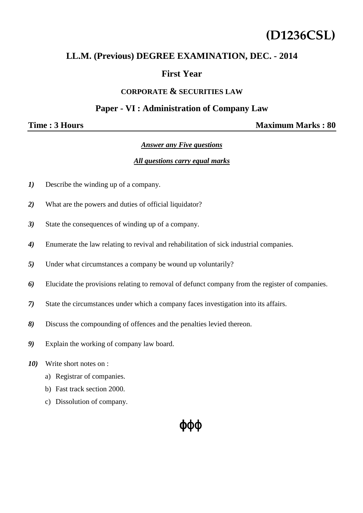# **(D1236CSL)**

## **LL.M. (Previous) DEGREE EXAMINATION, DEC. - 2014**

## **First Year**

#### **CORPORATE & SECURITIES LAW**

#### **Paper - VI : Administration of Company Law**

**Time : 3 Hours** Maximum Marks : 80

#### *Answer any Five questions*

#### *All questions carry equal marks*

- *1*) Describe the winding up of a company.
- *2)* What are the powers and duties of official liquidator?
- *3)* State the consequences of winding up of a company.
- *4)* Enumerate the law relating to revival and rehabilitation of sick industrial companies.
- *5)* Under what circumstances a company be wound up voluntarily?
- *6)* Elucidate the provisions relating to removal of defunct company from the register of companies.
- *7)* State the circumstances under which a company faces investigation into its affairs.
- *8)* Discuss the compounding of offences and the penalties levied thereon.
- *9)* Explain the working of company law board.
- *10)* Write short notes on :
	- a) Registrar of companies.
	- b) Fast track section 2000.
	- c) Dissolution of company.